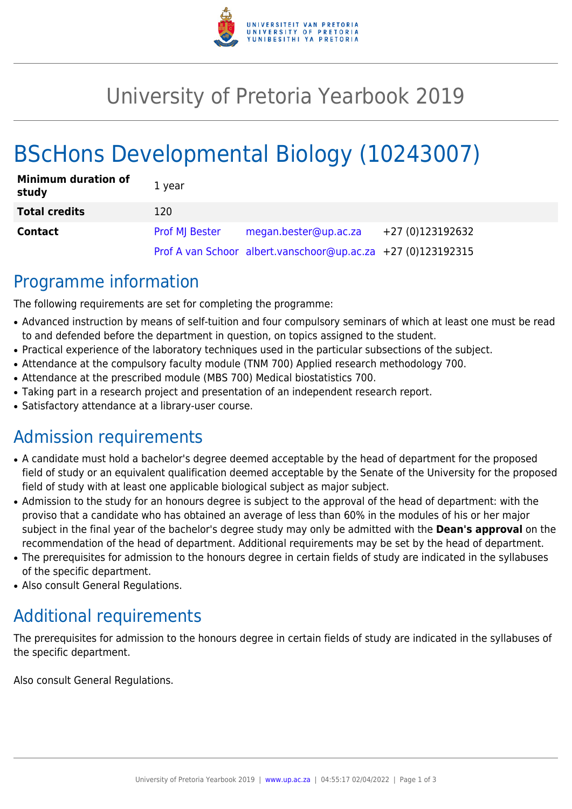

## University of Pretoria Yearbook 2019

# BScHons Developmental Biology (10243007)

| <b>Minimum duration of</b><br>study | 1 year                |                                                              |                  |
|-------------------------------------|-----------------------|--------------------------------------------------------------|------------------|
| <b>Total credits</b>                | 120                   |                                                              |                  |
| <b>Contact</b>                      | <b>Prof MI Bester</b> | megan.bester@up.ac.za                                        | +27 (0)123192632 |
|                                     |                       | Prof A van Schoor albert.vanschoor@up.ac.za +27 (0)123192315 |                  |

### Programme information

The following requirements are set for completing the programme:

- Advanced instruction by means of self-tuition and four compulsory seminars of which at least one must be read to and defended before the department in question, on topics assigned to the student.
- Practical experience of the laboratory techniques used in the particular subsections of the subject.
- Attendance at the compulsory faculty module (TNM 700) Applied research methodology 700.
- Attendance at the prescribed module (MBS 700) Medical biostatistics 700.
- Taking part in a research project and presentation of an independent research report.
- Satisfactory attendance at a library-user course.

### Admission requirements

- A candidate must hold a bachelor's degree deemed acceptable by the head of department for the proposed field of study or an equivalent qualification deemed acceptable by the Senate of the University for the proposed field of study with at least one applicable biological subject as major subject.
- Admission to the study for an honours degree is subject to the approval of the head of department: with the proviso that a candidate who has obtained an average of less than 60% in the modules of his or her major subject in the final year of the bachelor's degree study may only be admitted with the **Dean's approval** on the recommendation of the head of department. Additional requirements may be set by the head of department.
- The prerequisites for admission to the honours degree in certain fields of study are indicated in the syllabuses of the specific department.
- Also consult General Regulations.

### Additional requirements

The prerequisites for admission to the honours degree in certain fields of study are indicated in the syllabuses of the specific department.

Also consult General Regulations.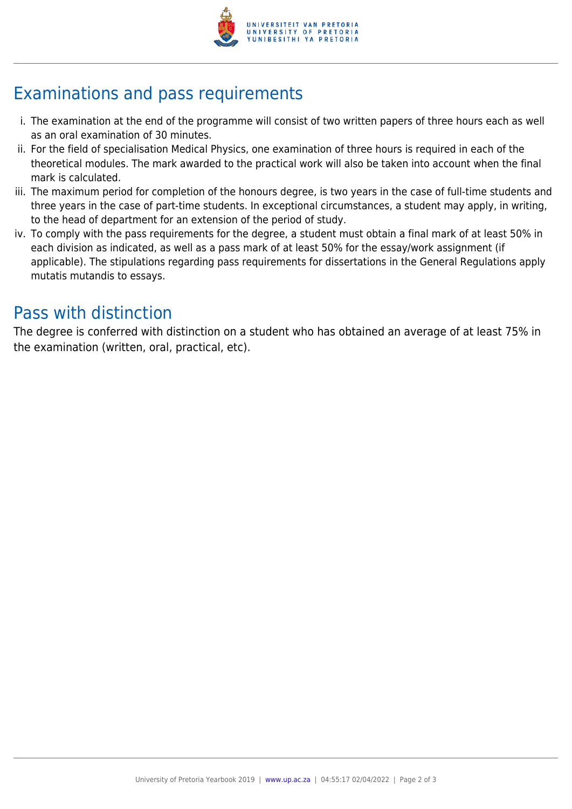

## Examinations and pass requirements

- i. The examination at the end of the programme will consist of two written papers of three hours each as well as an oral examination of 30 minutes.
- ii. For the field of specialisation Medical Physics, one examination of three hours is required in each of the theoretical modules. The mark awarded to the practical work will also be taken into account when the final mark is calculated.
- iii. The maximum period for completion of the honours degree, is two years in the case of full-time students and three years in the case of part-time students. In exceptional circumstances, a student may apply, in writing, to the head of department for an extension of the period of study.
- iv. To comply with the pass requirements for the degree, a student must obtain a final mark of at least 50% in each division as indicated, as well as a pass mark of at least 50% for the essay/work assignment (if applicable). The stipulations regarding pass requirements for dissertations in the General Regulations apply mutatis mutandis to essays.

### Pass with distinction

The degree is conferred with distinction on a student who has obtained an average of at least 75% in the examination (written, oral, practical, etc).